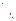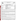UNITED STATES ENVIRONMENTAL PROTECTION AGENCY

**INVITED STATES** 

Office of Research and Development Washington, D.C. 20460



# **ENVIRONMENTAL TECHNOLOGY VERIFICATION PROGRAM VERIFICATION STATEMENT**

| <b>TECHNOLOGY TYPE:</b>           | <b>FIELD PORTABLE GAS CHROMATOGRAPH/MASS</b><br><b>SPECTROMETER</b>                                            |
|-----------------------------------|----------------------------------------------------------------------------------------------------------------|
| <b>APPLICATION:</b>               | <b>MEASUREMENT OF VOLATILE ORGANICS IN SOIL, WATER,</b><br><b>AND SOIL GAS</b>                                 |
| TECHNOLOGY NAME: SpectraTrak™ 672 |                                                                                                                |
| COMPANY:<br>ADDRESS:              | <b>VIKING INSTRUMENTS CORPORATION</b><br>3800 CONCORDE PARKWAY, SUITE 1500<br><b>CHANTILLY, VIRGINIA 20151</b> |
| PHONE:                            | $(703)$ 968-0101                                                                                               |

The U.S. Environmental Protection Agency (EPA) has created a program to facilitate the deployment of innovative environmental technologies through performance verification and information dissemination. The goal of the Environmental Technology Verification (ETV) Program is to further environmental protection by substantially accelerating the acceptance and use of improved and more cost effective technologies. The ETV is intended to assist and inform those involved in the design, distribution, permitting, and purchase of environmental technologies. This verification statement provides a summary of the demonstration and results for the Viking SpectraTrak™ 672 field portable gas chromatograph/mass spectrometer (GC/MS) system.

### **PROGRAM OPERATION**

The EPA, in partnership with recognized testing organizations, objectively and systematically evaluates the performance of innovative technologies. Together, with the full participation of the technology developer, they develop plans, conduct tests, collect and analyze data, and report findings. The evaluations are conducted according to a rigorous demonstration plan and established protocols for quality assurance. The EPA's National Exposure Research Laboratory, which conducts demonstrations of site characterization and monitoring technologies, selected Sandia National Laboratories, Albuquerque, New Mexico as the testing organization for field portable GC/MS systems.

## **DEMONSTRATION DESCRIPTION**

In July and September 1995, the performance of two field transportable GC/MS systems was determined under field conditions. Each system was independently evaluated by comparing field analysis results to those obtained using approved reference methods. Performance evaluation (PE), spiked, and environmental samples were used to independently assess the accuracy, precision, and comparability of each instrument.

The demonstration was designed to detect and measure a series of primary target analytes in soil gas, water, and soil. The primary target analytes at the U.S. Department of Energy's Savannah River Site, near Aiken, South Carolina, were trichloroethene and tetrachloroethene. The primary analytes at Wurtsmith Air Force Base, in Oscoda, Michigan, were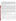benzene, toluene, and xylenes. Secondary analytes at the Michigan site included a variety of chlorinated organic solvents. The sites were chosen because they exhibit a wide range of concentrations for most of the analytes and provided different climatic and geological conditions. The conditions at each of these sites represent typical, but not all inclusive, conditions under which the technology would be expected to operate. Details of the demonstration, including a data summary and discussion of results may be found in the report entitled "Environmental Technology Verification Report, Field Portable Gas Chromatograph/Mass Spectrometer, Viking Instruments Corporation SpectraTrak<sup>™</sup> 672." The EPA document number for this report is EPA/600/R-97/148.

## **TECHNOLOGY DESCRIPTION**

GC/MS is a proven laboratory analytical technology that has been used in environmental laboratories for many years. The combination of gas chromatography and mass spectrometry enables the rapid separation and identification of individual compounds in complex mixtures. The gas chromatograph separates the sample extract into individual components. The mass spectrometer then ionizes each component which provides the energy to fragment molecules into characteristic ions. These ion fragments are then separated by mass and detected as charged particles, which constitutes a mass spectrum. Quantitation is achieved by comparing the abundance of those ions which are characteristic of a specific compound to the response received from the mass spectrum obtained from a reference standard. This spectrum can be used in the identification and quantitation of each component in the sample extract. For nontarget or unknown analytes the mass spectrum is compared to a computerized library of compounds to provide identification of the unknown. Field transportable GC/MS is a versatile technique that can be used to provide rapid screening data or laboratory quality confirmatory analyses. In most systems, the instrument configuration can also be quickly changed to accommodate different inlets for media such as soil, soil gas, and water. As with all field analytical studies, it may be necessary to send a portion of the samples to an independent laboratory for confirmatory analyses.

The Viking SpectraTrak™ 672 is a commercially available GC/MS system that provides laboratory-grade performance in a field transportable package. The instrument, including the on-board computer, is ruggedized and encapsulated in a shock-mounted transport case. It weighs about 145 lbs. and can be transported and operated in a small van. The instrument used in the demonstration used a purge and trap device for water and soil analysis and direct injection for soil gas samples. The minimum detection limit is 5 ppb for soil gas, 5  $\mu$ g/kg for soil, and 5 $\mu$ g/L for water. The instrument requires a skilled operator. Recommended training is one week for a chemist with GC/MS experience. At the time of the demonstration, the baseline cost of the SpectraTrak<sup>TM</sup> 672 was \$145,000.

### **VERIFICATION OF PERFORMANCE**

The observed performance characteristics of the SpectraTrak<sup>TM</sup> 672 include the following:

- **Throughput:** Sample throughput was approximately 30 minutes for soil extracts and water samples using purge and trap. The direct injection soil gas samples required 15 minutes each for analysis.
- ! **Completeness:** The SpectraTrak™ 672 detected 99 percent of the target compounds reported by the reference laboratory.
- **Precision:** Precision was calculated from the analysis of a series of duplicate samples from each media. The results are reported in terms of relative percent difference (RPD). The values compiled from both sites generally fell within the range of 0 to 30 percent RPD for soil and 0 to 15 percent RPD for the water and soil gas samples.